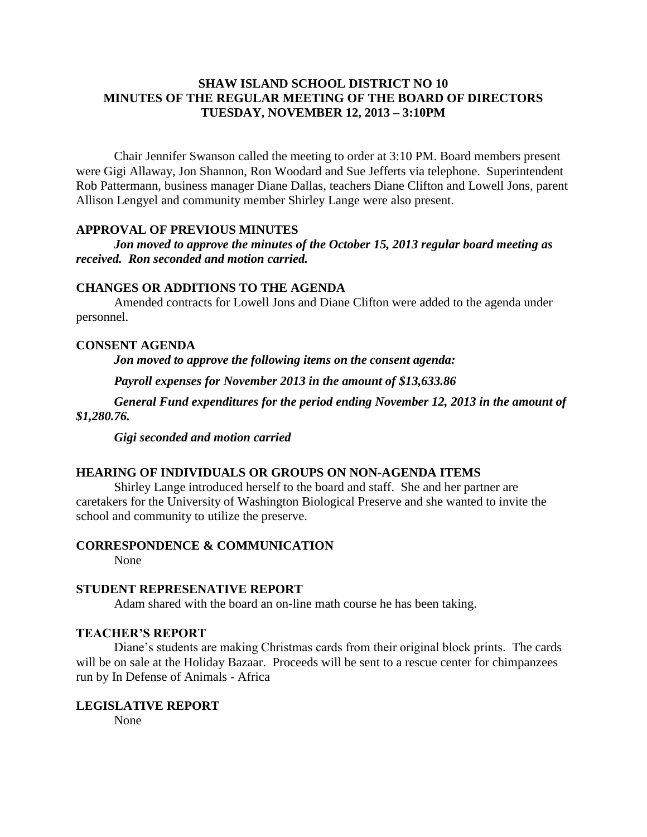# **SHAW ISLAND SCHOOL DISTRICT NO 10 MINUTES OF THE REGULAR MEETING OF THE BOARD OF DIRECTORS TUESDAY, NOVEMBER 12, 2013 – 3:10PM**

Chair Jennifer Swanson called the meeting to order at 3:10 PM. Board members present were Gigi Allaway, Jon Shannon, Ron Woodard and Sue Jefferts via telephone. Superintendent Rob Pattermann, business manager Diane Dallas, teachers Diane Clifton and Lowell Jons, parent Allison Lengyel and community member Shirley Lange were also present.

### **APPROVAL OF PREVIOUS MINUTES**

*Jon moved to approve the minutes of the October 15, 2013 regular board meeting as received. Ron seconded and motion carried.*

### **CHANGES OR ADDITIONS TO THE AGENDA**

Amended contracts for Lowell Jons and Diane Clifton were added to the agenda under personnel.

# **CONSENT AGENDA**

*Jon moved to approve the following items on the consent agenda:*

*Payroll expenses for November 2013 in the amount of \$13,633.86*

*General Fund expenditures for the period ending November 12, 2013 in the amount of \$1,280.76.*

*Gigi seconded and motion carried*

# **HEARING OF INDIVIDUALS OR GROUPS ON NON-AGENDA ITEMS**

Shirley Lange introduced herself to the board and staff. She and her partner are caretakers for the University of Washington Biological Preserve and she wanted to invite the school and community to utilize the preserve.

### **CORRESPONDENCE & COMMUNICATION**

None

#### **STUDENT REPRESENATIVE REPORT**

Adam shared with the board an on-line math course he has been taking.

### **TEACHER'S REPORT**

Diane's students are making Christmas cards from their original block prints. The cards will be on sale at the Holiday Bazaar. Proceeds will be sent to a rescue center for chimpanzees run by In Defense of Animals - Africa

# **LEGISLATIVE REPORT**

None